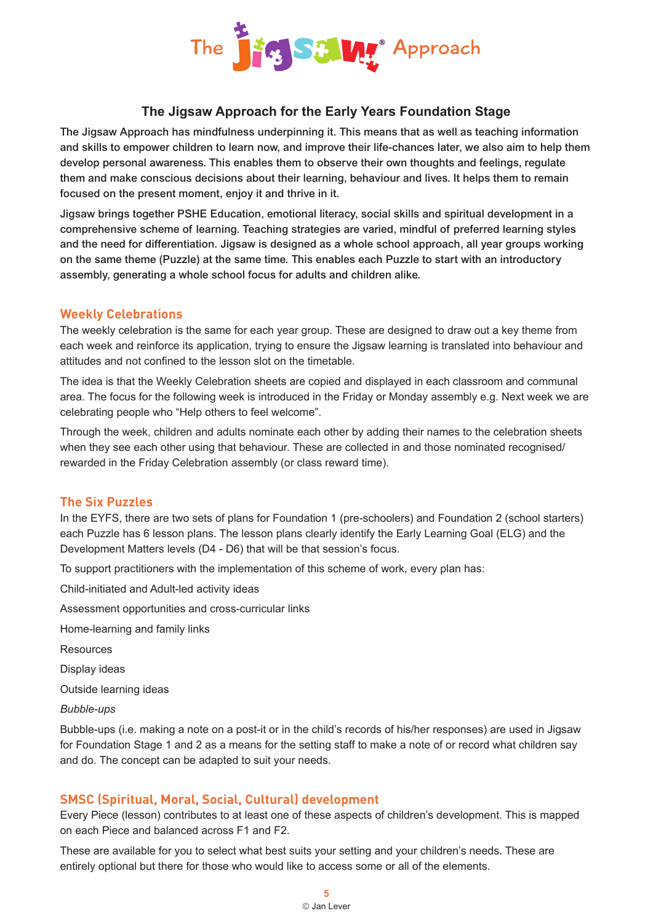

# **The Jigsaw Approach for the Early Years Foundation Stage**

The Jigsaw Approach has mindfulness underpinning it. This means that as well as teaching information and skills to empower children to learn now, and improve their life-chances later, we also aim to help them develop personal awareness. This enables them to observe their own thoughts and feelings, regulate them and make conscious decisions about their learning, behaviour and lives. It helps them to remain focused on the present moment, enjoy it and thrive in it.

Jigsaw brings together PSHE Education, emotional literacy, social skills and spiritual development in a comprehensive scheme of learning. Teaching strategies are varied, mindful of preferred learning styles and the need for differentiation. Jigsaw is designed as a whole school approach, all year groups working on the same theme (Puzzle) at the same time. This enables each Puzzle to start with an introductory assembly, generating a whole school focus for adults and children alike.

## **Weekly Celebrations**

The weekly celebration is the same for each year group. These are designed to draw out a key theme from each week and reinforce its application, trying to ensure the Jigsaw learning is translated into behaviour and attitudes and not confined to the lesson slot on the timetable.

The idea is that the Weekly Celebration sheets are copied and displayed in each classroom and communal area. The focus for the following week is introduced in the Friday or Monday assembly e.g. Next week we are celebrating people who "Help others to feel welcome".

Through the week, children and adults nominate each other by adding their names to the celebration sheets when they see each other using that behaviour. These are collected in and those nominated recognised/ rewarded in the Friday Celebration assembly (or class reward time).

## **The Six Puzzles**

In the EYFS, there are two sets of plans for Foundation 1 (pre-schoolers) and Foundation 2 (school starters) each Puzzle has 6 lesson plans. The lesson plans clearly identify the Early Learning Goal (ELG) and the Development Matters levels (D4 - D6) that will be that session's focus.

To support practitioners with the implementation of this scheme of work, every plan has:

Child-initiated and Adult-led activity ideas

Assessment opportunities and cross-curricular links

Home-learning and family links

**Resources** 

Display ideas

Outside learning ideas

#### *Bubble-ups*

Bubble-ups (i.e. making a note on a post-it or in the child's records of his/her responses) are used in Jigsaw for Foundation Stage 1 and 2 as a means for the setting staff to make a note of or record what children say and do. The concept can be adapted to suit your needs.

## **SMSC (Spiritual, Moral, Social, Cultural) development**

Every Piece (lesson) contributes to at least one of these aspects of children's development. This is mapped on each Piece and balanced across F1 and F2.

These are available for you to select what best suits your setting and your children's needs. These are entirely optional but there for those who would like to access some or all of the elements.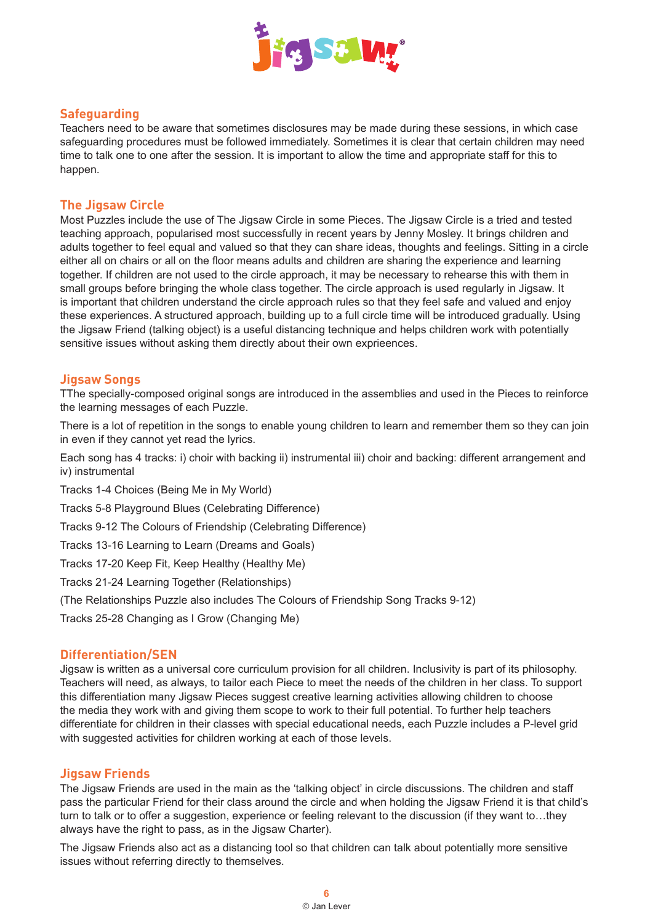

## **Safeguarding**

Teachers need to be aware that sometimes disclosures may be made during these sessions, in which case safeguarding procedures must be followed immediately. Sometimes it is clear that certain children may need time to talk one to one after the session. It is important to allow the time and appropriate staff for this to happen.

#### **The Jigsaw Circle**

Most Puzzles include the use of The Jigsaw Circle in some Pieces. The Jigsaw Circle is a tried and tested teaching approach, popularised most successfully in recent years by Jenny Mosley. It brings children and adults together to feel equal and valued so that they can share ideas, thoughts and feelings. Sitting in a circle either all on chairs or all on the floor means adults and children are sharing the experience and learning together. If children are not used to the circle approach, it may be necessary to rehearse this with them in small groups before bringing the whole class together. The circle approach is used regularly in Jigsaw. It is important that children understand the circle approach rules so that they feel safe and valued and enjoy these experiences. A structured approach, building up to a full circle time will be introduced gradually. Using the Jigsaw Friend (talking object) is a useful distancing technique and helps children work with potentially sensitive issues without asking them directly about their own exprieences.

#### **Jigsaw Songs**

TThe specially-composed original songs are introduced in the assemblies and used in the Pieces to reinforce the learning messages of each Puzzle.

There is a lot of repetition in the songs to enable young children to learn and remember them so they can join in even if they cannot yet read the lyrics.

Each song has 4 tracks: i) choir with backing ii) instrumental iii) choir and backing: different arrangement and iv) instrumental

Tracks 1-4 Choices (Being Me in My World)

Tracks 5-8 Playground Blues (Celebrating Difference)

Tracks 9-12 The Colours of Friendship (Celebrating Difference)

Tracks 13-16 Learning to Learn (Dreams and Goals)

Tracks 17-20 Keep Fit, Keep Healthy (Healthy Me)

Tracks 21-24 Learning Together (Relationships)

(The Relationships Puzzle also includes The Colours of Friendship Song Tracks 9-12)

Tracks 25-28 Changing as I Grow (Changing Me)

#### **Differentiation/SEN**

Jigsaw is written as a universal core curriculum provision for all children. Inclusivity is part of its philosophy. Teachers will need, as always, to tailor each Piece to meet the needs of the children in her class. To support this differentiation many Jigsaw Pieces suggest creative learning activities allowing children to choose the media they work with and giving them scope to work to their full potential. To further help teachers differentiate for children in their classes with special educational needs, each Puzzle includes a P-level grid with suggested activities for children working at each of those levels.

#### **Jigsaw Friends**

The Jigsaw Friends are used in the main as the 'talking object' in circle discussions. The children and staff pass the particular Friend for their class around the circle and when holding the Jigsaw Friend it is that child's turn to talk or to offer a suggestion, experience or feeling relevant to the discussion (if they want to…they always have the right to pass, as in the Jigsaw Charter).

The Jigsaw Friends also act as a distancing tool so that children can talk about potentially more sensitive issues without referring directly to themselves.